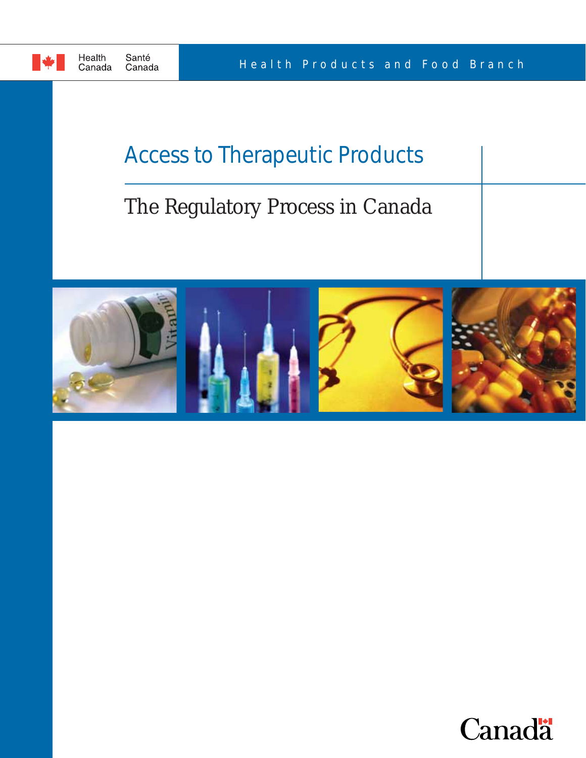

# Access to Therapeutic Products

# The Regulatory Process in Canada



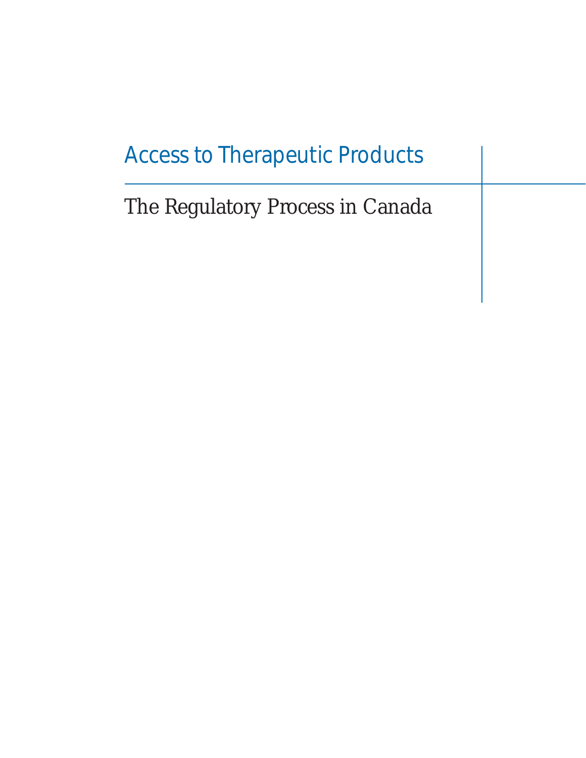# Access to Therapeutic Products

The Regulatory Process in Canada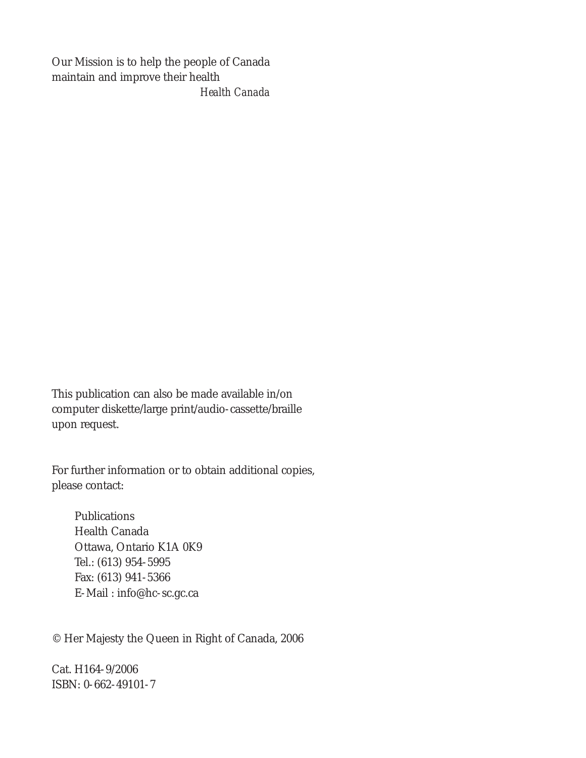Our Mission is to help the people of Canada maintain and improve their health *Health Canada*

This publication can also be made available in/on computer diskette/large print/audio-cassette/braille upon request.

For further information or to obtain additional copies, please contact:

Publications Health Canada Ottawa, Ontario K1A 0K9 Tel.: (613) 954-5995 Fax: (613) 941-5366 E-Mail : info@hc-sc.gc.ca

© Her Majesty the Queen in Right of Canada, 2006

Cat. H164-9/2006 ISBN: 0-662-49101-7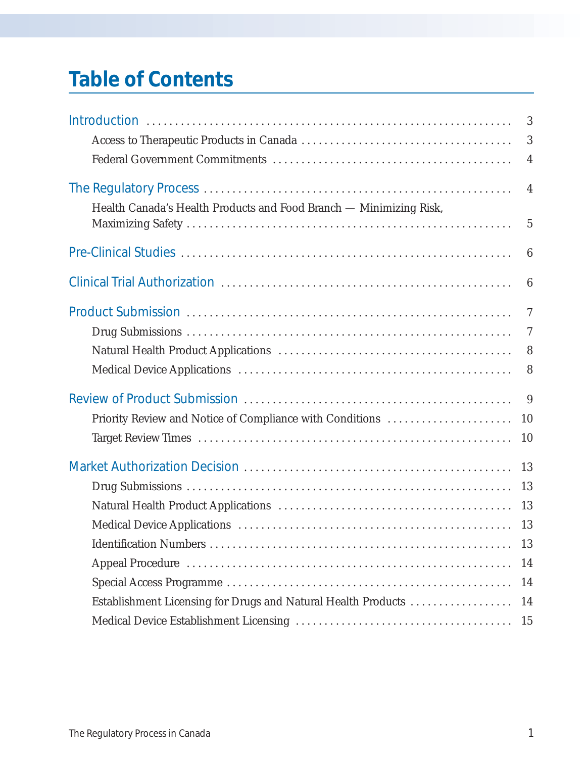# **Table of Contents**

|                                                                    | 3               |
|--------------------------------------------------------------------|-----------------|
|                                                                    | 3               |
|                                                                    | $\overline{4}$  |
|                                                                    |                 |
|                                                                    | $\overline{4}$  |
| Health Canada's Health Products and Food Branch - Minimizing Risk, |                 |
|                                                                    | $\overline{5}$  |
|                                                                    | $6\phantom{.}6$ |
|                                                                    | $6\phantom{.}6$ |
|                                                                    | $\overline{7}$  |
|                                                                    | $\tau$          |
|                                                                    | 8               |
|                                                                    | 8               |
|                                                                    | 9               |
| Priority Review and Notice of Compliance with Conditions           | 10              |
|                                                                    | 10              |
|                                                                    | 13              |
|                                                                    | 13              |
|                                                                    |                 |
|                                                                    |                 |
|                                                                    | 13              |
|                                                                    | 14              |
|                                                                    | 14              |
| Establishment Licensing for Drugs and Natural Health Products      | 14              |
| 15                                                                 |                 |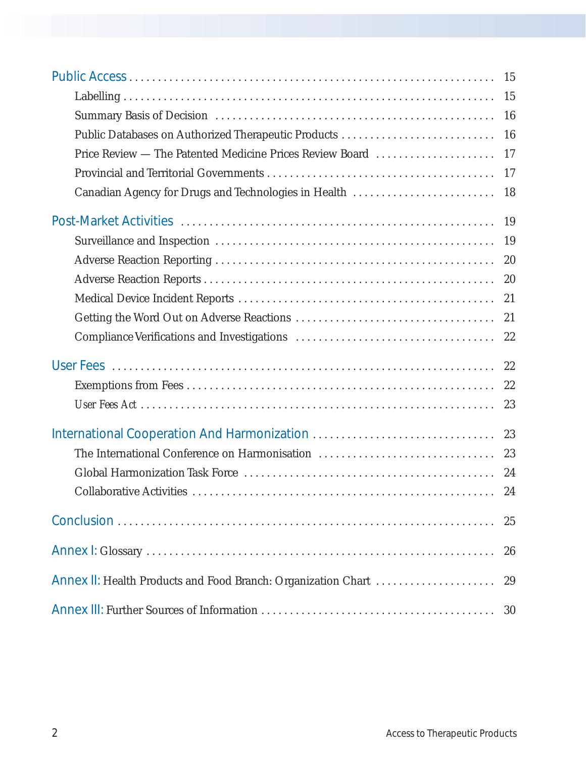|                                                               | 15 |
|---------------------------------------------------------------|----|
|                                                               | 15 |
|                                                               | 16 |
|                                                               | 16 |
| Price Review — The Patented Medicine Prices Review Board      | 17 |
|                                                               | 17 |
| Canadian Agency for Drugs and Technologies in Health          | 18 |
|                                                               | 19 |
|                                                               | 19 |
|                                                               | 20 |
|                                                               | 20 |
|                                                               | 21 |
|                                                               | 21 |
|                                                               | 22 |
|                                                               | 22 |
|                                                               | 22 |
|                                                               | 23 |
|                                                               | 23 |
| The International Conference on Harmonisation                 | 23 |
|                                                               | 24 |
|                                                               |    |
|                                                               | 25 |
|                                                               | 26 |
| Annex II: Health Products and Food Branch: Organization Chart | 29 |
|                                                               | 30 |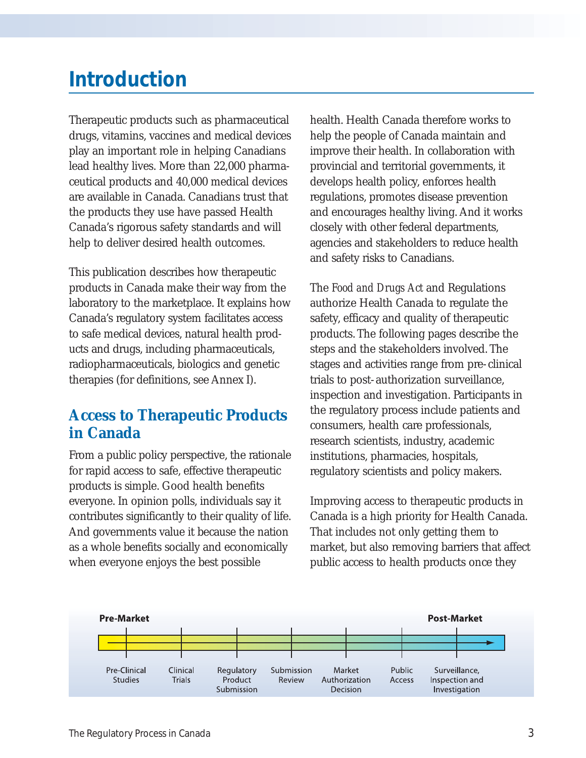## **Introduction**

Therapeutic products such as pharmaceutical drugs, vitamins, vaccines and medical devices play an important role in helping Canadians lead healthy lives. More than 22,000 pharmaceutical products and 40,000 medical devices are available in Canada. Canadians trust that the products they use have passed Health Canada's rigorous safety standards and will help to deliver desired health outcomes.

This publication describes how therapeutic products in Canada make their way from the laboratory to the marketplace. It explains how Canada's regulatory system facilitates access to safe medical devices, natural health products and drugs, including pharmaceuticals, radiopharmaceuticals, biologics and genetic therapies (for definitions, see Annex I).

## **Access to Therapeutic Products in Canada**

From a public policy perspective, the rationale for rapid access to safe, effective therapeutic products is simple. Good health benefits everyone. In opinion polls, individuals say it contributes significantly to their quality of life. And governments value it because the nation as a whole benefits socially and economically when everyone enjoys the best possible

health. Health Canada therefore works to help the people of Canada maintain and improve their health. In collaboration with provincial and territorial governments, it develops health policy, enforces health regulations, promotes disease prevention and encourages healthy living. And it works closely with other federal departments, agencies and stakeholders to reduce health and safety risks to Canadians.

The *Food and Drugs Act* and Regulations authorize Health Canada to regulate the safety, efficacy and quality of therapeutic products. The following pages describe the steps and the stakeholders involved. The stages and activities range from pre-clinical trials to post-authorization surveillance, inspection and investigation. Participants in the regulatory process include patients and consumers, health care professionals, research scientists, industry, academic institutions, pharmacies, hospitals, regulatory scientists and policy makers.

Improving access to therapeutic products in Canada is a high priority for Health Canada. That includes not only getting them to market, but also removing barriers that affect public access to health products once they

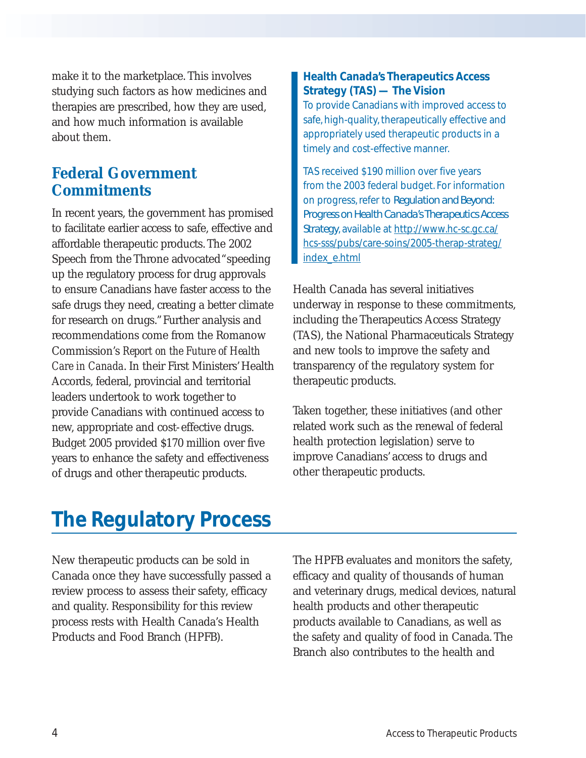make it to the marketplace. This involves studying such factors as how medicines and therapies are prescribed, how they are used, and how much information is available about them.

### **Federal Government Commitments**

In recent years, the government has promised to facilitate earlier access to safe, effective and affordable therapeutic products. The 2002 Speech from the Throne advocated "speeding up the regulatory process for drug approvals to ensure Canadians have faster access to the safe drugs they need, creating a better climate for research on drugs."Further analysis and recommendations come from the Romanow Commission's *Report on the Future of Health Care in Canada*. In their First Ministers'Health Accords, federal, provincial and territorial leaders undertook to work together to provide Canadians with continued access to new, appropriate and cost-effective drugs. Budget 2005 provided \$170 million over five years to enhance the safety and effectiveness of drugs and other therapeutic products.

### **Health Canada's Therapeutics Access Strategy (TAS) — The Vision**

To provide Canadians with improved access to safe, high-quality, therapeutically effective and appropriately used therapeutic products in a timely and cost-effective manner.

TAS received \$190 million over five years from the 2003 federal budget. For information on progress, refer to *Regulation and Beyond: Progress on Health Canada's Therapeutics Access Strategy*, available at http://www.hc-sc.gc.ca/ hcs-sss/pubs/care-soins/2005-therap-strateg/ index\_e.html

Health Canada has several initiatives underway in response to these commitments, including the Therapeutics Access Strategy (TAS), the National Pharmaceuticals Strategy and new tools to improve the safety and transparency of the regulatory system for therapeutic products.

Taken together, these initiatives (and other related work such as the renewal of federal health protection legislation) serve to improve Canadians' access to drugs and other therapeutic products.

# **The Regulatory Process**

New therapeutic products can be sold in Canada once they have successfully passed a review process to assess their safety, efficacy and quality. Responsibility for this review process rests with Health Canada's Health Products and Food Branch (HPFB).

The HPFB evaluates and monitors the safety, efficacy and quality of thousands of human and veterinary drugs, medical devices, natural health products and other therapeutic products available to Canadians, as well as the safety and quality of food in Canada. The Branch also contributes to the health and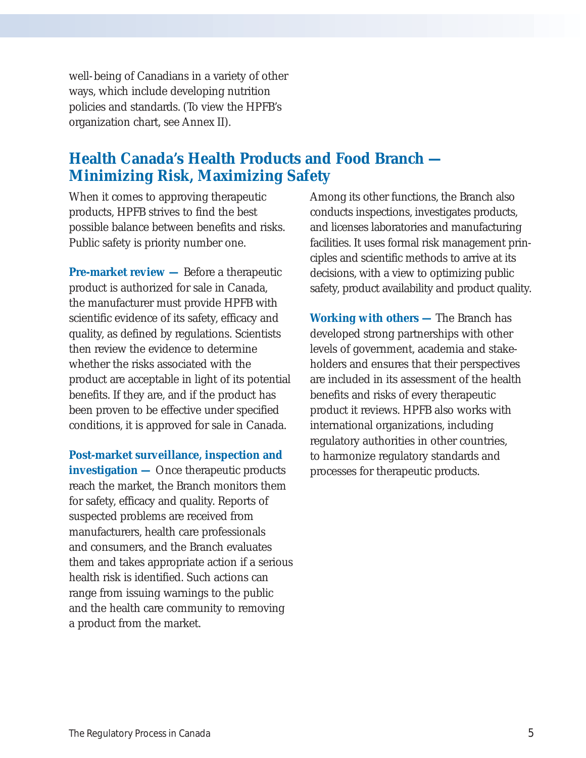well-being of Canadians in a variety of other ways, which include developing nutrition policies and standards. (To view the HPFB's organization chart, see Annex II).

### **Health Canada's Health Products and Food Branch — Minimizing Risk, Maximizing Safety**

When it comes to approving therapeutic products, HPFB strives to find the best possible balance between benefits and risks. Public safety is priority number one.

**Pre-market review** — Before a therapeutic product is authorized for sale in Canada, the manufacturer must provide HPFB with scientific evidence of its safety, efficacy and quality, as defined by regulations. Scientists then review the evidence to determine whether the risks associated with the product are acceptable in light of its potential benefits. If they are, and if the product has been proven to be effective under specified conditions, it is approved for sale in Canada.

**Post-market surveillance, inspection and investigation —** Once therapeutic products reach the market, the Branch monitors them for safety, efficacy and quality. Reports of suspected problems are received from manufacturers, health care professionals and consumers, and the Branch evaluates them and takes appropriate action if a serious health risk is identified. Such actions can range from issuing warnings to the public and the health care community to removing a product from the market.

Among its other functions, the Branch also conducts inspections, investigates products, and licenses laboratories and manufacturing facilities. It uses formal risk management principles and scientific methods to arrive at its decisions, with a view to optimizing public safety, product availability and product quality.

**Working with others —** The Branch has developed strong partnerships with other levels of government, academia and stakeholders and ensures that their perspectives are included in its assessment of the health benefits and risks of every therapeutic product it reviews. HPFB also works with international organizations, including regulatory authorities in other countries, to harmonize regulatory standards and processes for therapeutic products.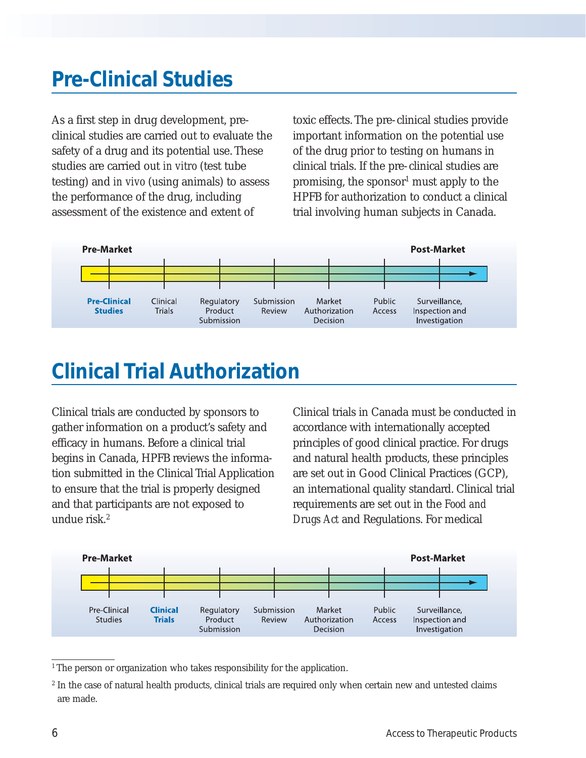## **Pre-Clinical Studies**

As a first step in drug development, preclinical studies are carried out to evaluate the safety of a drug and its potential use. These studies are carried out *in vitro* (test tube testing) and *in vivo* (using animals) to assess the performance of the drug, including assessment of the existence and extent of

toxic effects. The pre-clinical studies provide important information on the potential use of the drug prior to testing on humans in clinical trials. If the pre-clinical studies are promising, the sponsor<sup>1</sup> must apply to the HPFB for authorization to conduct a clinical trial involving human subjects in Canada.



## **Clinical Trial Authorization**

Clinical trials are conducted by sponsors to gather information on a product's safety and efficacy in humans. Before a clinical trial begins in Canada, HPFB reviews the information submitted in the Clinical Trial Application to ensure that the trial is properly designed and that participants are not exposed to undue risk.2

Clinical trials in Canada must be conducted in accordance with internationally accepted principles of good clinical practice. For drugs and natural health products, these principles are set out in Good Clinical Practices (GCP), an international quality standard. Clinical trial requirements are set out in the *Food and Drugs Act* and Regulations. For medical



<sup>&</sup>lt;sup>1</sup> The person or organization who takes responsibility for the application.

<sup>&</sup>lt;sup>2</sup> In the case of natural health products, clinical trials are required only when certain new and untested claims are made.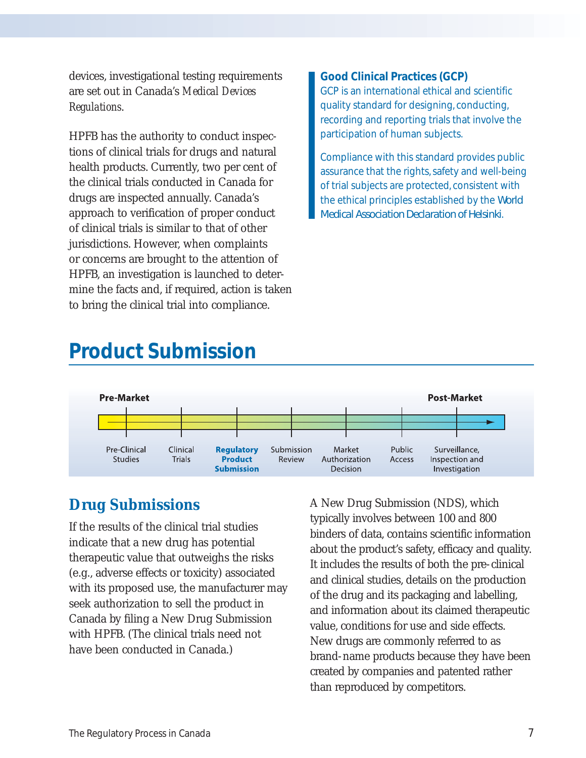devices, investigational testing requirements are set out in Canada's *Medical Devices Regulations*.

HPFB has the authority to conduct inspections of clinical trials for drugs and natural health products. Currently, two per cent of the clinical trials conducted in Canada for drugs are inspected annually. Canada's approach to verification of proper conduct of clinical trials is similar to that of other jurisdictions. However, when complaints or concerns are brought to the attention of HPFB, an investigation is launched to determine the facts and, if required, action is taken to bring the clinical trial into compliance.

#### **Good Clinical Practices (GCP)**

GCP is an international ethical and scientific quality standard for designing, conducting, recording and reporting trials that involve the participation of human subjects.

Compliance with this standard provides public assurance that the rights, safety and well-being of trial subjects are protected, consistent with the ethical principles established by the *World Medical Association Declaration of Helsinki*.

## **Product Submission**



### **Drug Submissions**

If the results of the clinical trial studies indicate that a new drug has potential therapeutic value that outweighs the risks (e.g., adverse effects or toxicity) associated with its proposed use, the manufacturer may seek authorization to sell the product in Canada by filing a New Drug Submission with HPFB. (The clinical trials need not have been conducted in Canada.)

A New Drug Submission (NDS), which typically involves between 100 and 800 binders of data, contains scientific information about the product's safety, efficacy and quality. It includes the results of both the pre-clinical and clinical studies, details on the production of the drug and its packaging and labelling, and information about its claimed therapeutic value, conditions for use and side effects. New drugs are commonly referred to as brand-name products because they have been created by companies and patented rather than reproduced by competitors.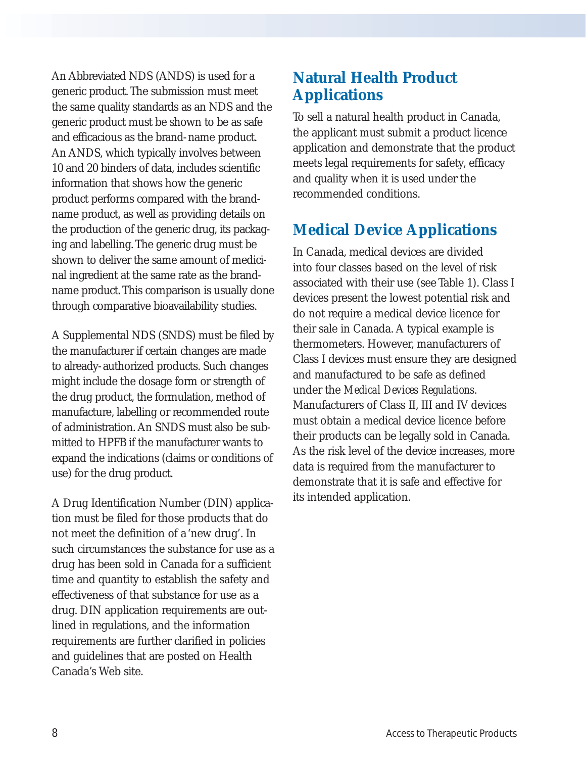An Abbreviated NDS (ANDS) is used for a generic product. The submission must meet the same quality standards as an NDS and the generic product must be shown to be as safe and efficacious as the brand-name product. An ANDS, which typically involves between 10 and 20 binders of data, includes scientific information that shows how the generic product performs compared with the brandname product, as well as providing details on the production of the generic drug, its packaging and labelling. The generic drug must be shown to deliver the same amount of medicinal ingredient at the same rate as the brandname product. This comparison is usually done through comparative bioavailability studies.

A Supplemental NDS (SNDS) must be filed by the manufacturer if certain changes are made to already-authorized products. Such changes might include the dosage form or strength of the drug product, the formulation, method of manufacture, labelling or recommended route of administration. An SNDS must also be submitted to HPFB if the manufacturer wants to expand the indications (claims or conditions of use) for the drug product.

A Drug Identification Number (DIN) application must be filed for those products that do not meet the definition of a 'new drug'. In such circumstances the substance for use as a drug has been sold in Canada for a sufficient time and quantity to establish the safety and effectiveness of that substance for use as a drug. DIN application requirements are outlined in regulations, and the information requirements are further clarified in policies and guidelines that are posted on Health Canada's Web site.

## **Natural Health Product Applications**

To sell a natural health product in Canada, the applicant must submit a product licence application and demonstrate that the product meets legal requirements for safety, efficacy and quality when it is used under the recommended conditions.

## **Medical Device Applications**

In Canada, medical devices are divided into four classes based on the level of risk associated with their use (see Table 1). Class I devices present the lowest potential risk and do not require a medical device licence for their sale in Canada. A typical example is thermometers. However, manufacturers of Class I devices must ensure they are designed and manufactured to be safe as defined under the *Medical Devices Regulations*. Manufacturers of Class II, III and IV devices must obtain a medical device licence before their products can be legally sold in Canada. As the risk level of the device increases, more data is required from the manufacturer to demonstrate that it is safe and effective for its intended application.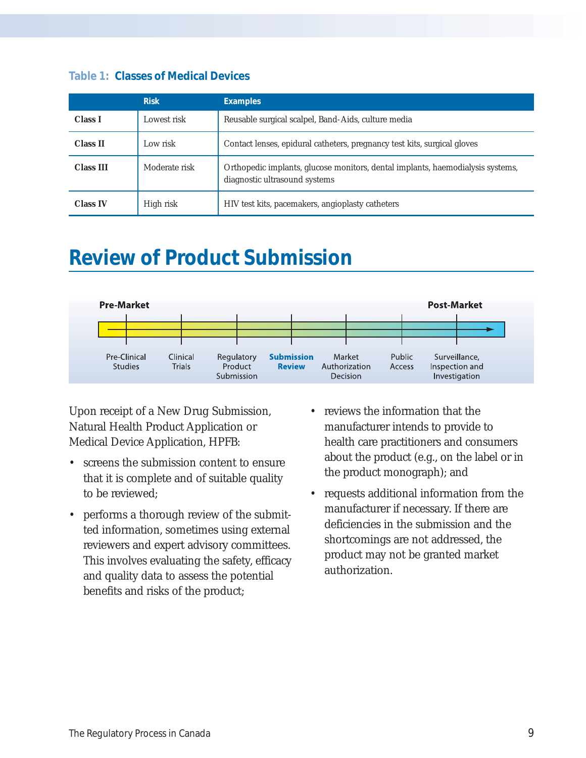|                  | <b>Risk</b>   | <b>Examples</b>                                                                                                 |
|------------------|---------------|-----------------------------------------------------------------------------------------------------------------|
| <b>Class I</b>   | Lowest risk   | Reusable surgical scalpel, Band-Aids, culture media                                                             |
| <b>Class II</b>  | Low risk      | Contact lenses, epidural catheters, pregnancy test kits, surgical gloves                                        |
| <b>Class III</b> | Moderate risk | Orthopedic implants, glucose monitors, dental implants, haemodialysis systems,<br>diagnostic ultrasound systems |
| <b>Class IV</b>  | High risk     | HIV test kits, pacemakers, angioplasty catheters                                                                |

#### **Table 1: Classes of Medical Devices**

## **Review of Product Submission**



Upon receipt of a New Drug Submission, Natural Health Product Application or Medical Device Application, HPFB:

- screens the submission content to ensure that it is complete and of suitable quality to be reviewed;
- performs a thorough review of the submitted information, sometimes using external reviewers and expert advisory committees. This involves evaluating the safety, efficacy and quality data to assess the potential benefits and risks of the product;
- reviews the information that the manufacturer intends to provide to health care practitioners and consumers about the product (e.g., on the label or in the product monograph); and
- requests additional information from the manufacturer if necessary. If there are deficiencies in the submission and the shortcomings are not addressed, the product may not be granted market authorization.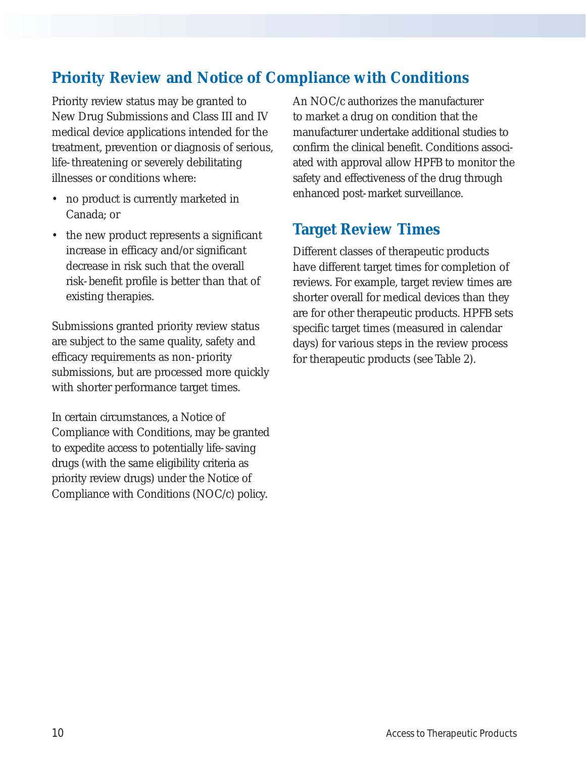## **Priority Review and Notice of Compliance with Conditions**

Priority review status may be granted to New Drug Submissions and Class III and IV medical device applications intended for the treatment, prevention or diagnosis of serious, life-threatening or severely debilitating illnesses or conditions where:

- no product is currently marketed in Canada; or
- the new product represents a significant increase in efficacy and/or significant decrease in risk such that the overall risk-benefit profile is better than that of existing therapies.

Submissions granted priority review status are subject to the same quality, safety and efficacy requirements as non-priority submissions, but are processed more quickly with shorter performance target times.

In certain circumstances, a Notice of Compliance with Conditions, may be granted to expedite access to potentially life-saving drugs (with the same eligibility criteria as priority review drugs) under the Notice of Compliance with Conditions (NOC/c) policy.

An NOC/c authorizes the manufacturer to market a drug on condition that the manufacturer undertake additional studies to confirm the clinical benefit. Conditions associated with approval allow HPFB to monitor the safety and effectiveness of the drug through enhanced post-market surveillance.

### **Target Review Times**

Different classes of therapeutic products have different target times for completion of reviews. For example, target review times are shorter overall for medical devices than they are for other therapeutic products. HPFB sets specific target times (measured in calendar days) for various steps in the review process for therapeutic products (see Table 2).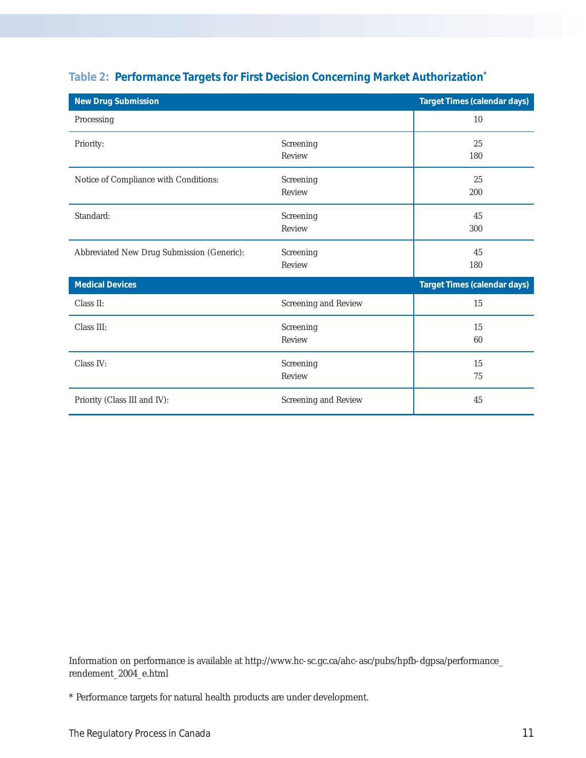| <b>New Drug Submission</b>                 |                      | <b>Target Times (calendar days)</b> |
|--------------------------------------------|----------------------|-------------------------------------|
| Processing                                 |                      | 10                                  |
| Priority:                                  | Screening<br>Review  | 25<br>180                           |
| Notice of Compliance with Conditions:      | Screening<br>Review  | 25<br>200                           |
| Standard:                                  | Screening<br>Review  | 45<br>300                           |
| Abbreviated New Drug Submission (Generic): | Screening<br>Review  | 45<br>180                           |
| <b>Medical Devices</b>                     |                      | <b>Target Times (calendar days)</b> |
| Class II:                                  | Screening and Review | 15                                  |
| Class III:                                 | Screening<br>Review  | 15<br>60                            |
| Class IV:                                  | Screening<br>Review  | 15<br>75                            |
| Priority (Class III and IV):               | Screening and Review | 45                                  |

### **Table 2: Performance Targets for First Decision Concerning Market Authorization\***

Information on performance is available at http://www.hc-sc.gc.ca/ahc-asc/pubs/hpfb-dgpsa/performance\_ rendement\_2004\_e.html

<sup>\*</sup> Performance targets for natural health products are under development.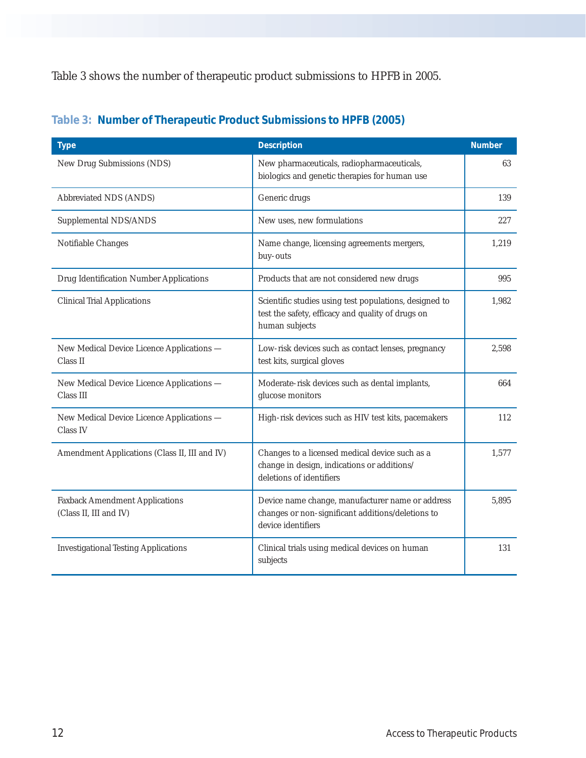Table 3 shows the number of therapeutic product submissions to HPFB in 2005.

| <b>Type</b>                                                     | <b>Description</b>                                                                                                            | <b>Number</b> |
|-----------------------------------------------------------------|-------------------------------------------------------------------------------------------------------------------------------|---------------|
| New Drug Submissions (NDS)                                      | New pharmaceuticals, radiopharmaceuticals,<br>biologics and genetic therapies for human use                                   | 63            |
| Abbreviated NDS (ANDS)                                          | Generic drugs                                                                                                                 | 139           |
| Supplemental NDS/ANDS                                           | New uses, new formulations                                                                                                    | 227           |
| Notifiable Changes                                              | Name change, licensing agreements mergers,<br>buy-outs                                                                        | 1.219         |
| Drug Identification Number Applications                         | Products that are not considered new drugs                                                                                    | 995           |
| <b>Clinical Trial Applications</b>                              | Scientific studies using test populations, designed to<br>test the safety, efficacy and quality of drugs on<br>human subjects | 1,982         |
| New Medical Device Licence Applications -<br>Class II           | Low-risk devices such as contact lenses, pregnancy<br>test kits, surgical gloves                                              | 2,598         |
| New Medical Device Licence Applications -<br>Class III          | Moderate-risk devices such as dental implants,<br>glucose monitors                                                            | 664           |
| New Medical Device Licence Applications -<br>Class IV           | High-risk devices such as HIV test kits, pacemakers                                                                           | 112           |
| Amendment Applications (Class II, III and IV)                   | Changes to a licensed medical device such as a<br>change in design, indications or additions/<br>deletions of identifiers     | 1,577         |
| <b>Faxback Amendment Applications</b><br>(Class II, III and IV) | Device name change, manufacturer name or address<br>changes or non-significant additions/deletions to<br>device identifiers   | 5,895         |
| <b>Investigational Testing Applications</b>                     | Clinical trials using medical devices on human<br>subjects                                                                    | 131           |

### **Table 3: Number of Therapeutic Product Submissions to HPFB (2005)**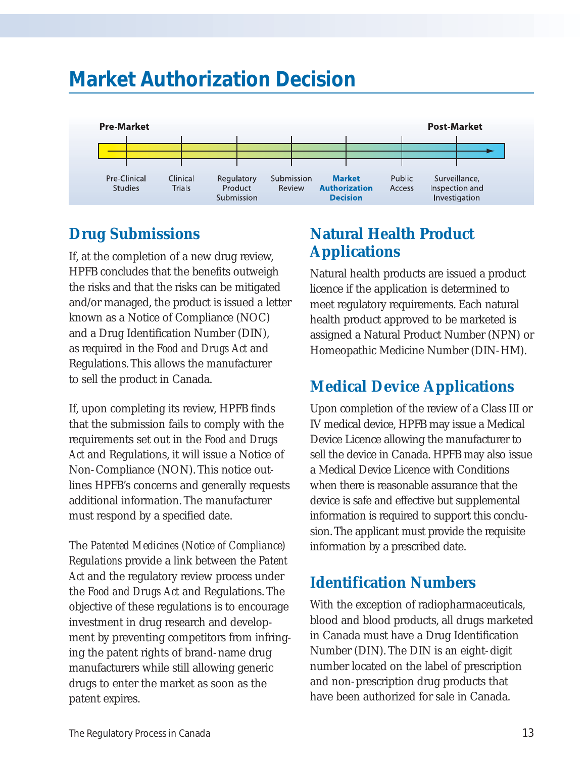## **Market Authorization Decision**



## **Drug Submissions**

If, at the completion of a new drug review, HPFB concludes that the benefits outweigh the risks and that the risks can be mitigated and/or managed, the product is issued a letter known as a Notice of Compliance (NOC) and a Drug Identification Number (DIN), as required in the *Food and Drugs Act* and Regulations. This allows the manufacturer to sell the product in Canada.

If, upon completing its review, HPFB finds that the submission fails to comply with the requirements set out in the *Food and Drugs Act* and Regulations, it will issue a Notice of Non-Compliance (NON). This notice outlines HPFB's concerns and generally requests additional information. The manufacturer must respond by a specified date.

The *Patented Medicines (Notice of Compliance) Regulations* provide a link between the *Patent Act* and the regulatory review process under the *Food and Drugs Act* and Regulations. The objective of these regulations is to encourage investment in drug research and development by preventing competitors from infringing the patent rights of brand-name drug manufacturers while still allowing generic drugs to enter the market as soon as the patent expires.

## **Natural Health Product Applications**

Natural health products are issued a product licence if the application is determined to meet regulatory requirements. Each natural health product approved to be marketed is assigned a Natural Product Number (NPN) or Homeopathic Medicine Number (DIN-HM).

## **Medical Device Applications**

Upon completion of the review of a Class III or IV medical device, HPFB may issue a Medical Device Licence allowing the manufacturer to sell the device in Canada. HPFB may also issue a Medical Device Licence with Conditions when there is reasonable assurance that the device is safe and effective but supplemental information is required to support this conclusion. The applicant must provide the requisite information by a prescribed date.

## **Identification Numbers**

With the exception of radiopharmaceuticals, blood and blood products, all drugs marketed in Canada must have a Drug Identification Number (DIN). The DIN is an eight-digit number located on the label of prescription and non-prescription drug products that have been authorized for sale in Canada.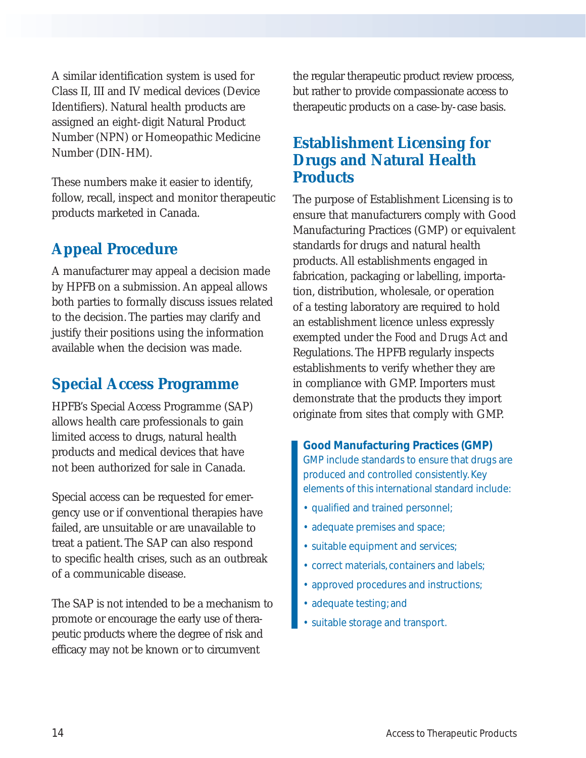A similar identification system is used for Class II, III and IV medical devices (Device Identifiers). Natural health products are assigned an eight-digit Natural Product Number (NPN) or Homeopathic Medicine Number (DIN-HM).

These numbers make it easier to identify, follow, recall, inspect and monitor therapeutic products marketed in Canada.

## **Appeal Procedure**

A manufacturer may appeal a decision made by HPFB on a submission. An appeal allows both parties to formally discuss issues related to the decision. The parties may clarify and justify their positions using the information available when the decision was made.

## **Special Access Programme**

HPFB's Special Access Programme (SAP) allows health care professionals to gain limited access to drugs, natural health products and medical devices that have not been authorized for sale in Canada.

Special access can be requested for emergency use or if conventional therapies have failed, are unsuitable or are unavailable to treat a patient. The SAP can also respond to specific health crises, such as an outbreak of a communicable disease.

The SAP is not intended to be a mechanism to promote or encourage the early use of therapeutic products where the degree of risk and efficacy may not be known or to circumvent

the regular therapeutic product review process, but rather to provide compassionate access to therapeutic products on a case-by-case basis.

## **Establishment Licensing for Drugs and Natural Health Products**

The purpose of Establishment Licensing is to ensure that manufacturers comply with Good Manufacturing Practices (GMP) or equivalent standards for drugs and natural health products. All establishments engaged in fabrication, packaging or labelling, importation, distribution, wholesale, or operation of a testing laboratory are required to hold an establishment licence unless expressly exempted under the *Food and Drugs Act* and Regulations. The HPFB regularly inspects establishments to verify whether they are in compliance with GMP. Importers must demonstrate that the products they import originate from sites that comply with GMP.

**Good Manufacturing Practices (GMP)** GMP include standards to ensure that drugs are produced and controlled consistently. Key elements of this international standard include:

- qualified and trained personnel;
- adequate premises and space;
- suitable equipment and services;
- correct materials, containers and labels;
- approved procedures and instructions;
- adequate testing; and
- suitable storage and transport.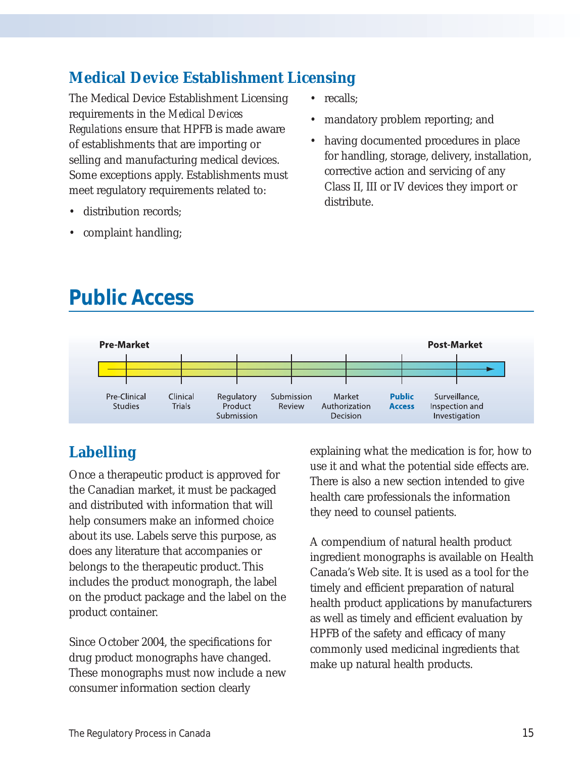## **Medical Device Establishment Licensing**

The Medical Device Establishment Licensing requirements in the *Medical Devices Regulations* ensure that HPFB is made aware of establishments that are importing or selling and manufacturing medical devices. Some exceptions apply. Establishments must meet regulatory requirements related to:

- distribution records:
- complaint handling;
- recalls:
- mandatory problem reporting; and
- having documented procedures in place for handling, storage, delivery, installation, corrective action and servicing of any Class II, III or IV devices they import or distribute.

# **Public Access**



## **Labelling**

Once a therapeutic product is approved for the Canadian market, it must be packaged and distributed with information that will help consumers make an informed choice about its use. Labels serve this purpose, as does any literature that accompanies or belongs to the therapeutic product. This includes the product monograph, the label on the product package and the label on the product container.

Since October 2004, the specifications for drug product monographs have changed. These monographs must now include a new consumer information section clearly

explaining what the medication is for, how to use it and what the potential side effects are. There is also a new section intended to give health care professionals the information they need to counsel patients.

A compendium of natural health product ingredient monographs is available on Health Canada's Web site. It is used as a tool for the timely and efficient preparation of natural health product applications by manufacturers as well as timely and efficient evaluation by HPFB of the safety and efficacy of many commonly used medicinal ingredients that make up natural health products.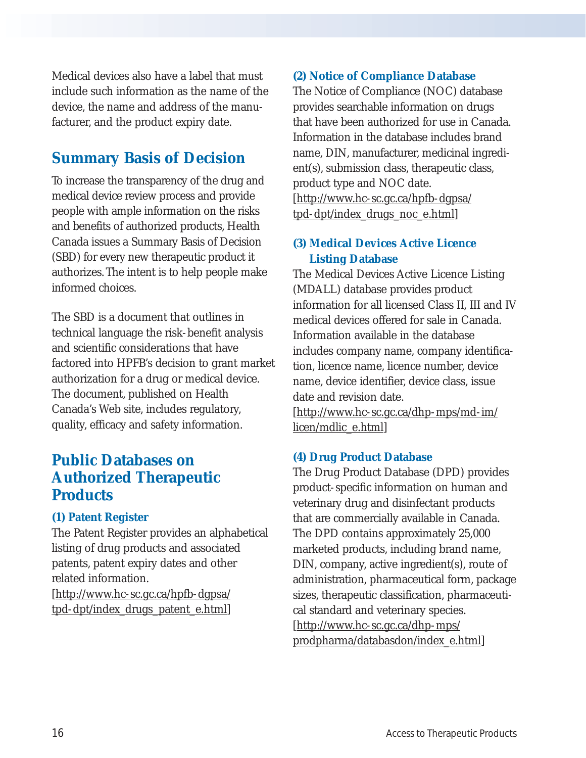Medical devices also have a label that must include such information as the name of the device, the name and address of the manufacturer, and the product expiry date.

## **Summary Basis of Decision**

To increase the transparency of the drug and medical device review process and provide people with ample information on the risks and benefits of authorized products, Health Canada issues a Summary Basis of Decision (SBD) for every new therapeutic product it authorizes. The intent is to help people make informed choices.

The SBD is a document that outlines in technical language the risk-benefit analysis and scientific considerations that have factored into HPFB's decision to grant market authorization for a drug or medical device. The document, published on Health Canada's Web site, includes regulatory, quality, efficacy and safety information.

## **Public Databases on Authorized Therapeutic Products**

### **(1) Patent Register**

The Patent Register provides an alphabetical listing of drug products and associated patents, patent expiry dates and other related information.

[http://www.hc-sc.gc.ca/hpfb-dgpsa/ tpd-dpt/index\_drugs\_patent\_e.html]

### **(2) Notice of Compliance Database**

The Notice of Compliance (NOC) database provides searchable information on drugs that have been authorized for use in Canada. Information in the database includes brand name, DIN, manufacturer, medicinal ingredient(s), submission class, therapeutic class, product type and NOC date. [http://www.hc-sc.gc.ca/hpfb-dgpsa/ tpd-dpt/index\_drugs\_noc\_e.html]

#### **(3) Medical Devices Active Licence Listing Database**

The Medical Devices Active Licence Listing (MDALL) database provides product information for all licensed Class II, III and IV medical devices offered for sale in Canada. Information available in the database includes company name, company identification, licence name, licence number, device name, device identifier, device class, issue date and revision date.

[http://www.hc-sc.gc.ca/dhp-mps/md-im/ licen/mdlic\_e.html]

### **(4) Drug Product Database**

The Drug Product Database (DPD) provides product-specific information on human and veterinary drug and disinfectant products that are commercially available in Canada. The DPD contains approximately 25,000 marketed products, including brand name, DIN, company, active ingredient(s), route of administration, pharmaceutical form, package sizes, therapeutic classification, pharmaceutical standard and veterinary species. [http://www.hc-sc.gc.ca/dhp-mps/ prodpharma/databasdon/index\_e.html]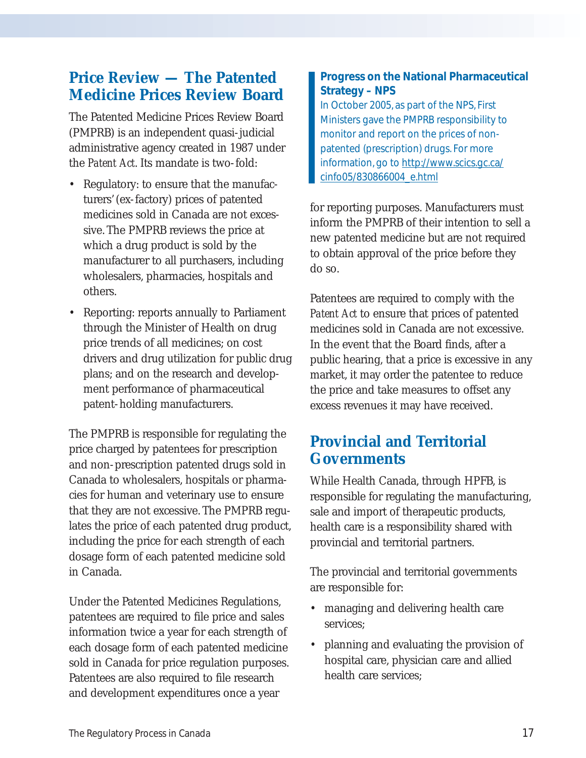## **Price Review — The Patented Medicine Prices Review Board**

The Patented Medicine Prices Review Board (PMPRB) is an independent quasi-judicial administrative agency created in 1987 under the *Patent Act*. Its mandate is two-fold:

- Regulatory: to ensure that the manufacturers' (ex-factory) prices of patented medicines sold in Canada are not excessive. The PMPRB reviews the price at which a drug product is sold by the manufacturer to all purchasers, including wholesalers, pharmacies, hospitals and others.
- Reporting: reports annually to Parliament through the Minister of Health on drug price trends of all medicines; on cost drivers and drug utilization for public drug plans; and on the research and development performance of pharmaceutical patent-holding manufacturers.

The PMPRB is responsible for regulating the price charged by patentees for prescription and non-prescription patented drugs sold in Canada to wholesalers, hospitals or pharmacies for human and veterinary use to ensure that they are not excessive. The PMPRB regulates the price of each patented drug product, including the price for each strength of each dosage form of each patented medicine sold in Canada.

Under the Patented Medicines Regulations, patentees are required to file price and sales information twice a year for each strength of each dosage form of each patented medicine sold in Canada for price regulation purposes. Patentees are also required to file research and development expenditures once a year

### **Progress on the National Pharmaceutical Strategy – NPS**

In October 2005, as part of the NPS, First Ministers gave the PMPRB responsibility to monitor and report on the prices of nonpatented (prescription) drugs. For more information, go to http://www.scics.gc.ca/ cinfo05/830866004\_e.html

for reporting purposes. Manufacturers must inform the PMPRB of their intention to sell a new patented medicine but are not required to obtain approval of the price before they do so.

Patentees are required to comply with the *Patent Act* to ensure that prices of patented medicines sold in Canada are not excessive. In the event that the Board finds, after a public hearing, that a price is excessive in any market, it may order the patentee to reduce the price and take measures to offset any excess revenues it may have received.

## **Provincial and Territorial Governments**

While Health Canada, through HPFB, is responsible for regulating the manufacturing, sale and import of therapeutic products, health care is a responsibility shared with provincial and territorial partners.

The provincial and territorial governments are responsible for:

- managing and delivering health care services;
- planning and evaluating the provision of hospital care, physician care and allied health care services;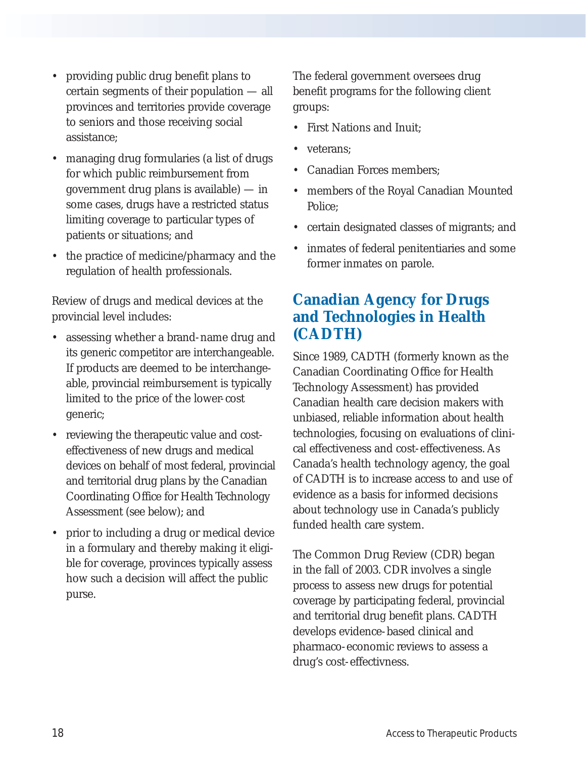- providing public drug benefit plans to certain segments of their population — all provinces and territories provide coverage to seniors and those receiving social assistance;
- managing drug formularies (a list of drugs for which public reimbursement from government drug plans is available) — in some cases, drugs have a restricted status limiting coverage to particular types of patients or situations; and
- the practice of medicine/pharmacy and the regulation of health professionals.

Review of drugs and medical devices at the provincial level includes:

- assessing whether a brand-name drug and its generic competitor are interchangeable. If products are deemed to be interchangeable, provincial reimbursement is typically limited to the price of the lower-cost generic;
- reviewing the therapeutic value and costeffectiveness of new drugs and medical devices on behalf of most federal, provincial and territorial drug plans by the Canadian Coordinating Office for Health Technology Assessment (see below); and
- prior to including a drug or medical device in a formulary and thereby making it eligible for coverage, provinces typically assess how such a decision will affect the public purse.

The federal government oversees drug benefit programs for the following client groups:

- First Nations and Inuit;
- veterans:
- Canadian Forces members;
- members of the Royal Canadian Mounted Police;
- certain designated classes of migrants; and
- inmates of federal penitentiaries and some former inmates on parole.

### **Canadian Agency for Drugs and Technologies in Health (CADTH)**

Since 1989, CADTH (formerly known as the Canadian Coordinating Office for Health Technology Assessment) has provided Canadian health care decision makers with unbiased, reliable information about health technologies, focusing on evaluations of clinical effectiveness and cost-effectiveness. As Canada's health technology agency, the goal of CADTH is to increase access to and use of evidence as a basis for informed decisions about technology use in Canada's publicly funded health care system.

The Common Drug Review (CDR) began in the fall of 2003. CDR involves a single process to assess new drugs for potential coverage by participating federal, provincial and territorial drug benefit plans. CADTH develops evidence-based clinical and pharmaco-economic reviews to assess a drug's cost-effectivness.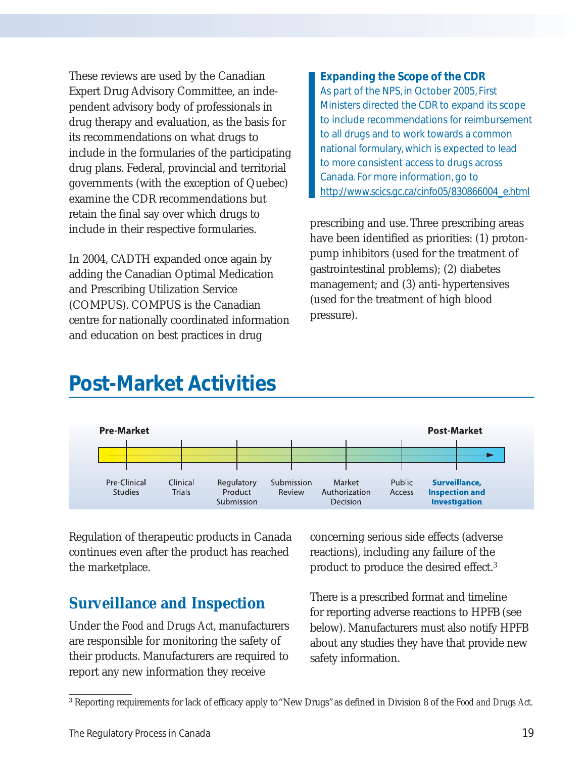These reviews are used by the Canadian Expert Drug Advisory Committee, an independent advisory body of professionals in drug therapy and evaluation, as the basis for its recommendations on what drugs to include in the formularies of the participating drug plans. Federal, provincial and territorial governments (with the exception of Quebec) examine the CDR recommendations but retain the final say over which drugs to include in their respective formularies.

In 2004, CADTH expanded once again by adding the Canadian Optimal Medication and Prescribing Utilization Service (COMPUS). COMPUS is the Canadian centre for nationally coordinated information and education on best practices in drug

#### **Expanding the Scope of the CDR**

As part of the NPS, in October 2005, First Ministers directed the CDR to expand its scope to include recommendations for reimbursement to all drugs and to work towards a common national formulary, which is expected to lead to more consistent access to drugs across Canada. For more information, go to http://www.scics.gc.ca/cinfo05/830866004\_e.html

prescribing and use. Three prescribing areas have been identified as priorities: (1) protonpump inhibitors (used for the treatment of gastrointestinal problems); (2) diabetes management; and (3) anti-hypertensives (used for the treatment of high blood pressure).

## **Post-Market Activities**



Regulation of therapeutic products in Canada continues even after the product has reached the marketplace.

### **Surveillance and Inspection**

Under the *Food and Drugs Act*, manufacturers are responsible for monitoring the safety of their products. Manufacturers are required to report any new information they receive

concerning serious side effects (adverse reactions), including any failure of the product to produce the desired effect.3

There is a prescribed format and timeline for reporting adverse reactions to HPFB (see below). Manufacturers must also notify HPFB about any studies they have that provide new safety information.

<sup>3</sup> Reporting requirements for lack of efficacy apply to "New Drugs"as defined in Division 8 of the *Food and Drugs Act*.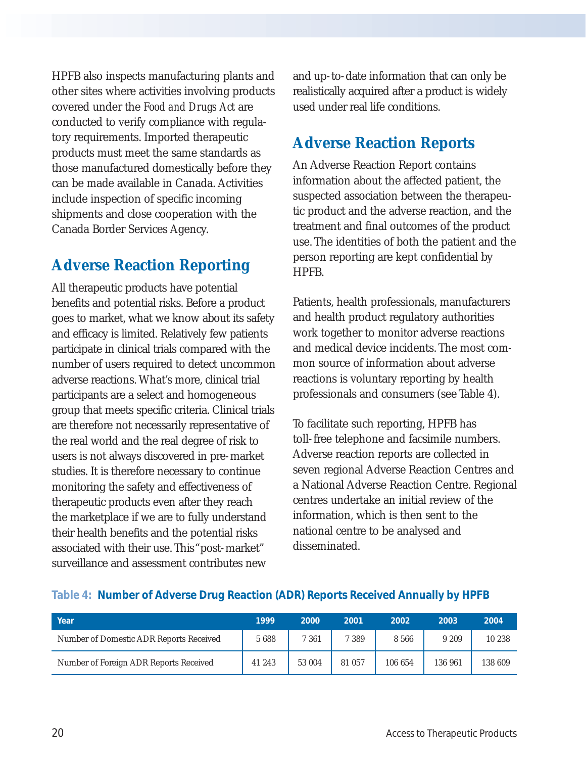HPFB also inspects manufacturing plants and other sites where activities involving products covered under the *Food and Drugs Act* are conducted to verify compliance with regulatory requirements. Imported therapeutic products must meet the same standards as those manufactured domestically before they can be made available in Canada. Activities include inspection of specific incoming shipments and close cooperation with the Canada Border Services Agency.

### **Adverse Reaction Reporting**

All therapeutic products have potential benefits and potential risks. Before a product goes to market, what we know about its safety and efficacy is limited. Relatively few patients participate in clinical trials compared with the number of users required to detect uncommon adverse reactions. What's more, clinical trial participants are a select and homogeneous group that meets specific criteria. Clinical trials are therefore not necessarily representative of the real world and the real degree of risk to users is not always discovered in pre-market studies. It is therefore necessary to continue monitoring the safety and effectiveness of therapeutic products even after they reach the marketplace if we are to fully understand their health benefits and the potential risks associated with their use. This "post-market" surveillance and assessment contributes new

and up-to-date information that can only be realistically acquired after a product is widely used under real life conditions.

### **Adverse Reaction Reports**

An Adverse Reaction Report contains information about the affected patient, the suspected association between the therapeutic product and the adverse reaction, and the treatment and final outcomes of the product use. The identities of both the patient and the person reporting are kept confidential by HPFB.

Patients, health professionals, manufacturers and health product regulatory authorities work together to monitor adverse reactions and medical device incidents. The most common source of information about adverse reactions is voluntary reporting by health professionals and consumers (see Table 4).

To facilitate such reporting, HPFB has toll-free telephone and facsimile numbers. Adverse reaction reports are collected in seven regional Adverse Reaction Centres and a National Adverse Reaction Centre. Regional centres undertake an initial review of the information, which is then sent to the national centre to be analysed and disseminated.

| Year                                    | 1999   | 2000   | 2001    | 2002    | 2003    | 2004    |
|-----------------------------------------|--------|--------|---------|---------|---------|---------|
| Number of Domestic ADR Reports Received | 5688   | 7 361  | 7 3 8 9 | 8 5 6 6 | 9 2 0 9 | 10 238  |
| Number of Foreign ADR Reports Received  | 41 243 | 53 004 | 81 057  | 106 654 | 136 961 | 138 609 |

#### **Table 4: Number of Adverse Drug Reaction (ADR) Reports Received Annually by HPFB**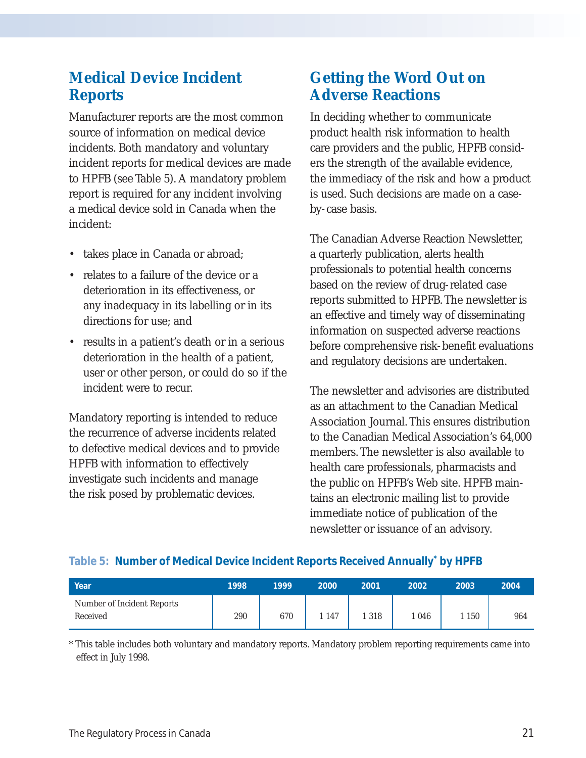## **Medical Device Incident Reports**

Manufacturer reports are the most common source of information on medical device incidents. Both mandatory and voluntary incident reports for medical devices are made to HPFB (see Table 5). A mandatory problem report is required for any incident involving a medical device sold in Canada when the incident:

- takes place in Canada or abroad;
- relates to a failure of the device or a deterioration in its effectiveness, or any inadequacy in its labelling or in its directions for use; and
- results in a patient's death or in a serious deterioration in the health of a patient, user or other person, or could do so if the incident were to recur.

Mandatory reporting is intended to reduce the recurrence of adverse incidents related to defective medical devices and to provide HPFB with information to effectively investigate such incidents and manage the risk posed by problematic devices.

## **Getting the Word Out on Adverse Reactions**

In deciding whether to communicate product health risk information to health care providers and the public, HPFB considers the strength of the available evidence, the immediacy of the risk and how a product is used. Such decisions are made on a caseby-case basis.

The Canadian Adverse Reaction Newsletter, a quarterly publication, alerts health professionals to potential health concerns based on the review of drug-related case reports submitted to HPFB. The newsletter is an effective and timely way of disseminating information on suspected adverse reactions before comprehensive risk-benefit evaluations and regulatory decisions are undertaken.

The newsletter and advisories are distributed as an attachment to the Canadian Medical Association Journal. This ensures distribution to the Canadian Medical Association's 64,000 members. The newsletter is also available to health care professionals, pharmacists and the public on HPFB's Web site. HPFB maintains an electronic mailing list to provide immediate notice of publication of the newsletter or issuance of an advisory.

#### **Table 5: Number of Medical Device Incident Reports Received Annually\* by HPFB**

| Year                                   | 1998 | 1999 | 2000  | 2001 | 2002 | 2003 | 2004 |
|----------------------------------------|------|------|-------|------|------|------|------|
| Number of Incident Reports<br>Received | 290  | 670  | . 147 | 318  | 046  | 150  | 964  |

\* This table includes both voluntary and mandatory reports. Mandatory problem reporting requirements came into effect in July 1998.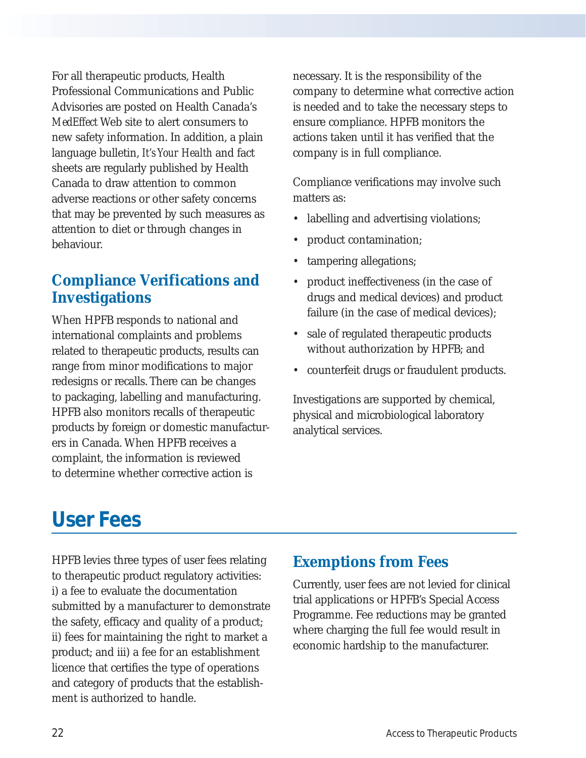For all therapeutic products, Health Professional Communications and Public Advisories are posted on Health Canada's *MedEffect* Web site to alert consumers to new safety information. In addition, a plain language bulletin, *It's Your Health* and fact sheets are regularly published by Health Canada to draw attention to common adverse reactions or other safety concerns that may be prevented by such measures as attention to diet or through changes in behaviour.

## **Compliance Verifications and Investigations**

When HPFB responds to national and international complaints and problems related to therapeutic products, results can range from minor modifications to major redesigns or recalls. There can be changes to packaging, labelling and manufacturing. HPFB also monitors recalls of therapeutic products by foreign or domestic manufacturers in Canada. When HPFB receives a complaint, the information is reviewed to determine whether corrective action is

necessary. It is the responsibility of the company to determine what corrective action is needed and to take the necessary steps to ensure compliance. HPFB monitors the actions taken until it has verified that the company is in full compliance.

Compliance verifications may involve such matters as:

- labelling and advertising violations;
- product contamination;
- tampering allegations;
- product ineffectiveness (in the case of drugs and medical devices) and product failure (in the case of medical devices);
- sale of regulated therapeutic products without authorization by HPFB; and
- counterfeit drugs or fraudulent products.

Investigations are supported by chemical, physical and microbiological laboratory analytical services.

# **User Fees**

HPFB levies three types of user fees relating to therapeutic product regulatory activities: i) a fee to evaluate the documentation submitted by a manufacturer to demonstrate the safety, efficacy and quality of a product; ii) fees for maintaining the right to market a product; and iii) a fee for an establishment licence that certifies the type of operations and category of products that the establishment is authorized to handle.

## **Exemptions from Fees**

Currently, user fees are not levied for clinical trial applications or HPFB's Special Access Programme. Fee reductions may be granted where charging the full fee would result in economic hardship to the manufacturer.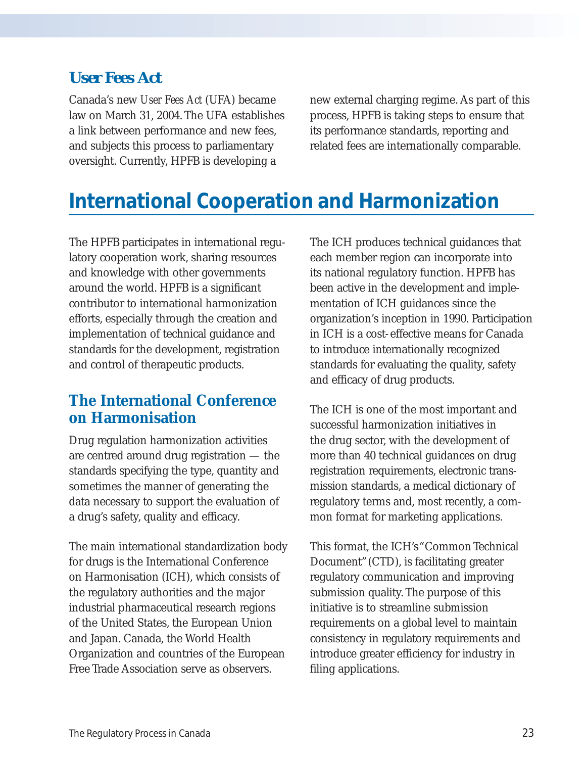### *User Fees Act*

Canada's new *User Fees Act* (UFA) became law on March 31, 2004. The UFA establishes a link between performance and new fees, and subjects this process to parliamentary oversight. Currently, HPFB is developing a

new external charging regime. As part of this process, HPFB is taking steps to ensure that its performance standards, reporting and related fees are internationally comparable.

## **International Cooperation and Harmonization**

The HPFB participates in international regulatory cooperation work, sharing resources and knowledge with other governments around the world. HPFB is a significant contributor to international harmonization efforts, especially through the creation and implementation of technical guidance and standards for the development, registration and control of therapeutic products.

### **The International Conference on Harmonisation**

Drug regulation harmonization activities are centred around drug registration — the standards specifying the type, quantity and sometimes the manner of generating the data necessary to support the evaluation of a drug's safety, quality and efficacy.

The main international standardization body for drugs is the International Conference on Harmonisation (ICH), which consists of the regulatory authorities and the major industrial pharmaceutical research regions of the United States, the European Union and Japan. Canada, the World Health Organization and countries of the European Free Trade Association serve as observers.

The ICH produces technical guidances that each member region can incorporate into its national regulatory function. HPFB has been active in the development and implementation of ICH guidances since the organization's inception in 1990. Participation in ICH is a cost-effective means for Canada to introduce internationally recognized standards for evaluating the quality, safety and efficacy of drug products.

The ICH is one of the most important and successful harmonization initiatives in the drug sector, with the development of more than 40 technical guidances on drug registration requirements, electronic transmission standards, a medical dictionary of regulatory terms and, most recently, a common format for marketing applications.

This format, the ICH's "Common Technical Document"(CTD), is facilitating greater regulatory communication and improving submission quality. The purpose of this initiative is to streamline submission requirements on a global level to maintain consistency in regulatory requirements and introduce greater efficiency for industry in filing applications.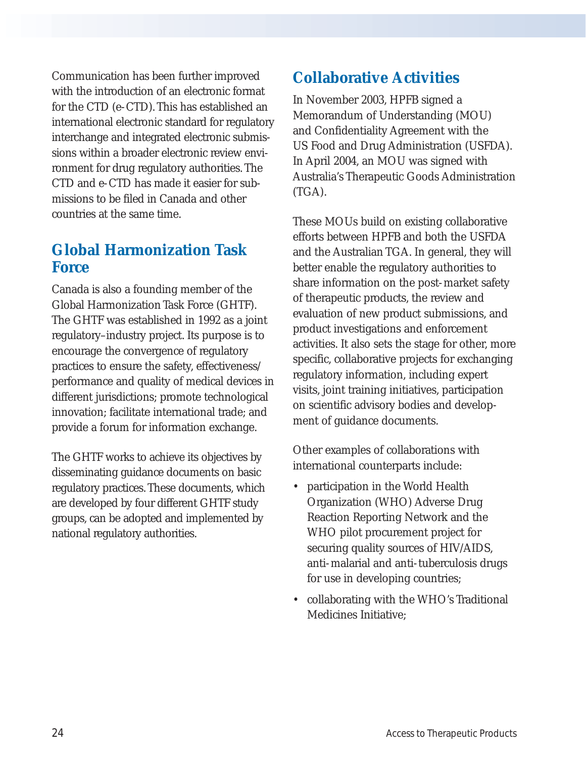Communication has been further improved with the introduction of an electronic format for the CTD (e-CTD). This has established an international electronic standard for regulatory interchange and integrated electronic submissions within a broader electronic review environment for drug regulatory authorities. The CTD and e-CTD has made it easier for submissions to be filed in Canada and other countries at the same time.

### **Global Harmonization Task Force**

Canada is also a founding member of the Global Harmonization Task Force (GHTF). The GHTF was established in 1992 as a joint regulatory–industry project. Its purpose is to encourage the convergence of regulatory practices to ensure the safety, effectiveness/ performance and quality of medical devices in different jurisdictions; promote technological innovation; facilitate international trade; and provide a forum for information exchange.

The GHTF works to achieve its objectives by disseminating guidance documents on basic regulatory practices. These documents, which are developed by four different GHTF study groups, can be adopted and implemented by national regulatory authorities.

## **Collaborative Activities**

In November 2003, HPFB signed a Memorandum of Understanding (MOU) and Confidentiality Agreement with the US Food and Drug Administration (USFDA). In April 2004, an MOU was signed with Australia's Therapeutic Goods Administration (TGA).

These MOUs build on existing collaborative efforts between HPFB and both the USFDA and the Australian TGA. In general, they will better enable the regulatory authorities to share information on the post-market safety of therapeutic products, the review and evaluation of new product submissions, and product investigations and enforcement activities. It also sets the stage for other, more specific, collaborative projects for exchanging regulatory information, including expert visits, joint training initiatives, participation on scientific advisory bodies and development of guidance documents.

Other examples of collaborations with international counterparts include:

- participation in the World Health Organization (WHO) Adverse Drug Reaction Reporting Network and the WHO pilot procurement project for securing quality sources of HIV/AIDS, anti-malarial and anti-tuberculosis drugs for use in developing countries;
- collaborating with the WHO's Traditional Medicines Initiative;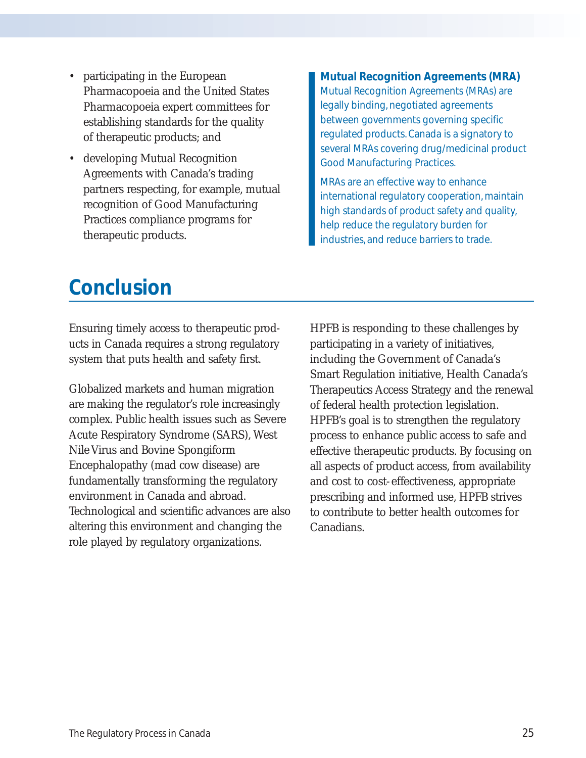- participating in the European Pharmacopoeia and the United States Pharmacopoeia expert committees for establishing standards for the quality of therapeutic products; and
- developing Mutual Recognition Agreements with Canada's trading partners respecting, for example, mutual recognition of Good Manufacturing Practices compliance programs for therapeutic products.

#### **Mutual Recognition Agreements (MRA)**

Mutual Recognition Agreements (MRAs) are legally binding, negotiated agreements between governments governing specific regulated products. Canada is a signatory to several MRAs covering drug/medicinal product Good Manufacturing Practices.

MRAs are an effective way to enhance international regulatory cooperation, maintain high standards of product safety and quality, help reduce the regulatory burden for industries, and reduce barriers to trade.

## **Conclusion**

Ensuring timely access to therapeutic products in Canada requires a strong regulatory system that puts health and safety first.

Globalized markets and human migration are making the regulator's role increasingly complex. Public health issues such as Severe Acute Respiratory Syndrome (SARS), West Nile Virus and Bovine Spongiform Encephalopathy (mad cow disease) are fundamentally transforming the regulatory environment in Canada and abroad. Technological and scientific advances are also altering this environment and changing the role played by regulatory organizations.

HPFB is responding to these challenges by participating in a variety of initiatives, including the Government of Canada's Smart Regulation initiative, Health Canada's Therapeutics Access Strategy and the renewal of federal health protection legislation. HPFB's goal is to strengthen the regulatory process to enhance public access to safe and effective therapeutic products. By focusing on all aspects of product access, from availability and cost to cost-effectiveness, appropriate prescribing and informed use, HPFB strives to contribute to better health outcomes for Canadians.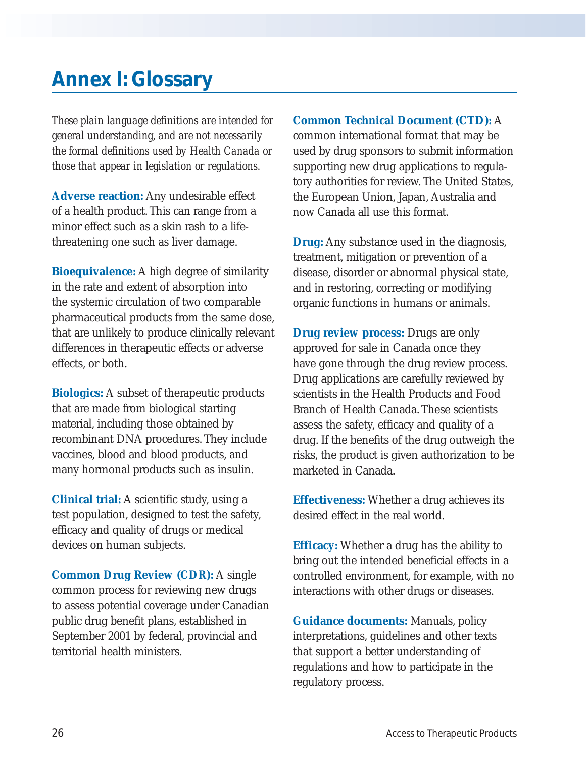## **Annex I: Glossary**

*These plain language definitions are intended for general understanding, and are not necessarily the formal definitions used by Health Canada or those that appear in legislation or regulations.*

**Adverse reaction:** Any undesirable effect of a health product. This can range from a minor effect such as a skin rash to a lifethreatening one such as liver damage.

**Bioequivalence:** A high degree of similarity in the rate and extent of absorption into the systemic circulation of two comparable pharmaceutical products from the same dose, that are unlikely to produce clinically relevant differences in therapeutic effects or adverse effects, or both.

**Biologics:** A subset of therapeutic products that are made from biological starting material, including those obtained by recombinant DNA procedures. They include vaccines, blood and blood products, and many hormonal products such as insulin.

**Clinical trial:** A scientific study, using a test population, designed to test the safety, efficacy and quality of drugs or medical devices on human subjects.

**Common Drug Review (CDR):** A single common process for reviewing new drugs to assess potential coverage under Canadian public drug benefit plans, established in September 2001 by federal, provincial and territorial health ministers.

**Common Technical Document (CTD):** A common international format that may be used by drug sponsors to submit information supporting new drug applications to regulatory authorities for review. The United States, the European Union, Japan, Australia and now Canada all use this format.

**Drug:** Any substance used in the diagnosis, treatment, mitigation or prevention of a disease, disorder or abnormal physical state, and in restoring, correcting or modifying organic functions in humans or animals.

**Drug review process:** Drugs are only approved for sale in Canada once they have gone through the drug review process. Drug applications are carefully reviewed by scientists in the Health Products and Food Branch of Health Canada. These scientists assess the safety, efficacy and quality of a drug. If the benefits of the drug outweigh the risks, the product is given authorization to be marketed in Canada.

**Effectiveness:** Whether a drug achieves its desired effect in the real world.

**Efficacy:** Whether a drug has the ability to bring out the intended beneficial effects in a controlled environment, for example, with no interactions with other drugs or diseases.

**Guidance documents:** Manuals, policy interpretations, guidelines and other texts that support a better understanding of regulations and how to participate in the regulatory process.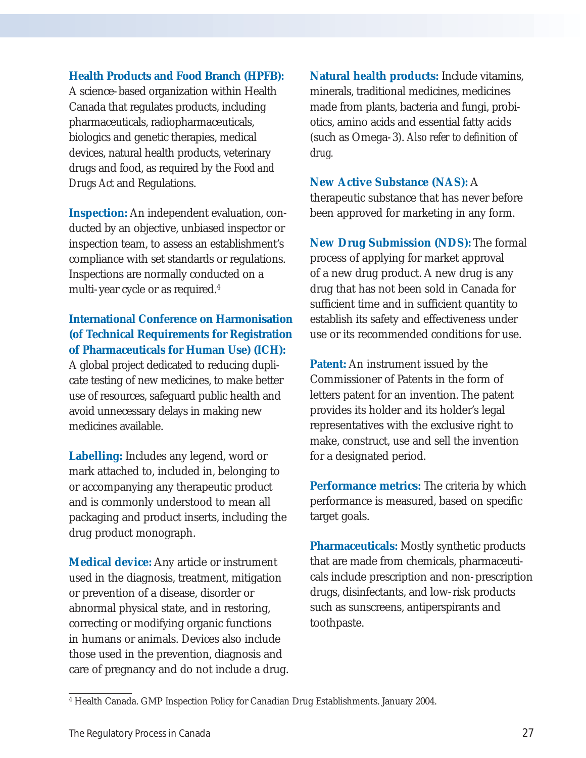#### **Health Products and Food Branch (HPFB):**

A science-based organization within Health Canada that regulates products, including pharmaceuticals, radiopharmaceuticals, biologics and genetic therapies, medical devices, natural health products, veterinary drugs and food, as required by the *Food and Drugs Act* and Regulations.

**Inspection:** An independent evaluation, conducted by an objective, unbiased inspector or inspection team, to assess an establishment's compliance with set standards or regulations. Inspections are normally conducted on a multi-year cycle or as required.4

#### **International Conference on Harmonisation (of Technical Requirements for Registration of Pharmaceuticals for Human Use) (ICH):**

A global project dedicated to reducing duplicate testing of new medicines, to make better use of resources, safeguard public health and avoid unnecessary delays in making new medicines available.

**Labelling:** Includes any legend, word or mark attached to, included in, belonging to or accompanying any therapeutic product and is commonly understood to mean all packaging and product inserts, including the drug product monograph.

**Medical device:** Any article or instrument used in the diagnosis, treatment, mitigation or prevention of a disease, disorder or abnormal physical state, and in restoring, correcting or modifying organic functions in humans or animals. Devices also include those used in the prevention, diagnosis and care of pregnancy and do not include a drug. **Natural health products:** Include vitamins, minerals, traditional medicines, medicines made from plants, bacteria and fungi, probiotics, amino acids and essential fatty acids (such as Omega-3). *Also refer to definition of drug.*

#### **New Active Substance (NAS):** A

therapeutic substance that has never before been approved for marketing in any form.

**New Drug Submission (NDS):** The formal process of applying for market approval of a new drug product. A new drug is any drug that has not been sold in Canada for sufficient time and in sufficient quantity to establish its safety and effectiveness under use or its recommended conditions for use.

**Patent:** An instrument issued by the Commissioner of Patents in the form of letters patent for an invention. The patent provides its holder and its holder's legal representatives with the exclusive right to make, construct, use and sell the invention for a designated period.

**Performance metrics:** The criteria by which performance is measured, based on specific target goals.

**Pharmaceuticals:** Mostly synthetic products that are made from chemicals, pharmaceuticals include prescription and non-prescription drugs, disinfectants, and low-risk products such as sunscreens, antiperspirants and toothpaste.

<sup>4</sup> Health Canada. GMP Inspection Policy for Canadian Drug Establishments. January 2004.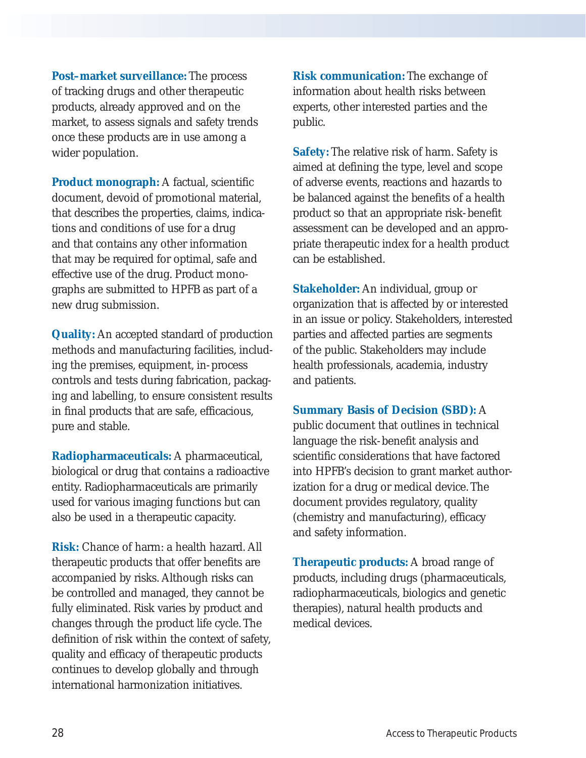**Post–market surveillance:** The process of tracking drugs and other therapeutic products, already approved and on the market, to assess signals and safety trends once these products are in use among a wider population.

**Product monograph:** A factual, scientific document, devoid of promotional material, that describes the properties, claims, indications and conditions of use for a drug and that contains any other information that may be required for optimal, safe and effective use of the drug. Product monographs are submitted to HPFB as part of a new drug submission.

**Quality:** An accepted standard of production methods and manufacturing facilities, including the premises, equipment, in-process controls and tests during fabrication, packaging and labelling, to ensure consistent results in final products that are safe, efficacious, pure and stable.

**Radiopharmaceuticals:** A pharmaceutical, biological or drug that contains a radioactive entity. Radiopharmaceuticals are primarily used for various imaging functions but can also be used in a therapeutic capacity.

**Risk:** Chance of harm: a health hazard. All therapeutic products that offer benefits are accompanied by risks. Although risks can be controlled and managed, they cannot be fully eliminated. Risk varies by product and changes through the product life cycle. The definition of risk within the context of safety, quality and efficacy of therapeutic products continues to develop globally and through international harmonization initiatives.

**Risk communication:** The exchange of information about health risks between experts, other interested parties and the public.

**Safety:** The relative risk of harm. Safety is aimed at defining the type, level and scope of adverse events, reactions and hazards to be balanced against the benefits of a health product so that an appropriate risk-benefit assessment can be developed and an appropriate therapeutic index for a health product can be established.

**Stakeholder:** An individual, group or organization that is affected by or interested in an issue or policy. Stakeholders, interested parties and affected parties are segments of the public. Stakeholders may include health professionals, academia, industry and patients.

#### **Summary Basis of Decision (SBD):** A

public document that outlines in technical language the risk-benefit analysis and scientific considerations that have factored into HPFB's decision to grant market authorization for a drug or medical device. The document provides regulatory, quality (chemistry and manufacturing), efficacy and safety information.

**Therapeutic products:** A broad range of products, including drugs (pharmaceuticals, radiopharmaceuticals, biologics and genetic therapies), natural health products and medical devices.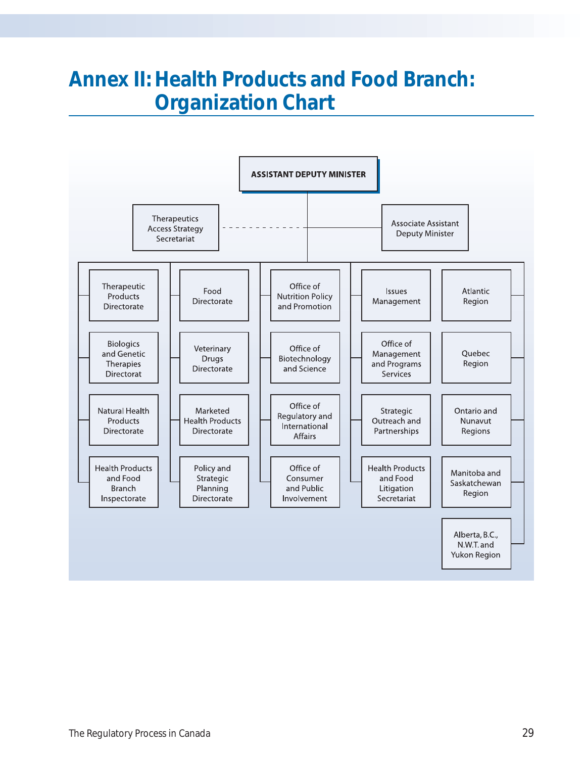## **Annex II: Health Products and Food Branch: Organization Chart**

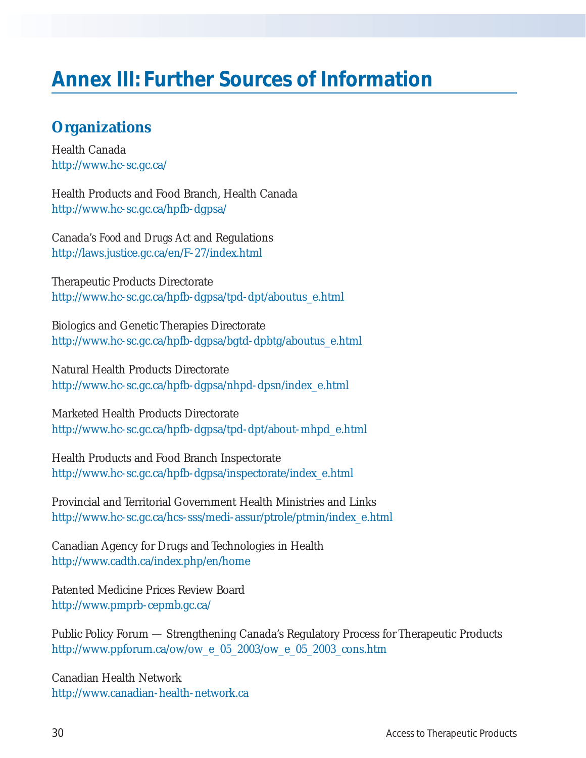# **Annex III: Further Sources of Information**

### **Organizations**

Health Canada http://www.hc-sc.gc.ca/

Health Products and Food Branch, Health Canada http://www.hc-sc.gc.ca/hpfb-dgpsa/

Canada's *Food and Drugs Act* and Regulations http://laws.justice.gc.ca/en/F-27/index.html

Therapeutic Products Directorate http://www.hc-sc.gc.ca/hpfb-dgpsa/tpd-dpt/aboutus\_e.html

Biologics and Genetic Therapies Directorate http://www.hc-sc.gc.ca/hpfb-dgpsa/bgtd-dpbtg/aboutus\_e.html

Natural Health Products Directorate http://www.hc-sc.gc.ca/hpfb-dgpsa/nhpd-dpsn/index\_e.html

Marketed Health Products Directorate http://www.hc-sc.gc.ca/hpfb-dgpsa/tpd-dpt/about-mhpd\_e.html

Health Products and Food Branch Inspectorate http://www.hc-sc.gc.ca/hpfb-dgpsa/inspectorate/index\_e.html

Provincial and Territorial Government Health Ministries and Links http://www.hc-sc.gc.ca/hcs-sss/medi-assur/ptrole/ptmin/index\_e.html

Canadian Agency for Drugs and Technologies in Health http://www.cadth.ca/index.php/en/home

Patented Medicine Prices Review Board http://www.pmprb-cepmb.gc.ca/

Public Policy Forum — Strengthening Canada's Regulatory Process for Therapeutic Products http://www.ppforum.ca/ow/ow\_e\_05\_2003/ow\_e\_05\_2003\_cons.htm

Canadian Health Network http://www.canadian-health-network.ca